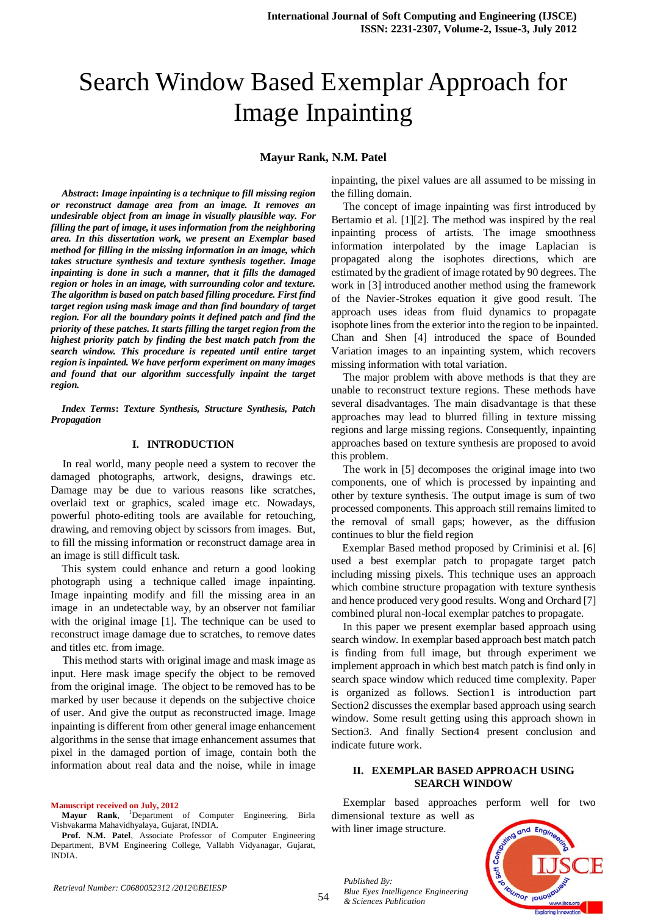# Search Window Based Exemplar Approach for Image Inpainting

### **Mayur Rank, N.M. Patel**

*Abstract***:** *Image inpainting is a technique to fill missing region or reconstruct damage area from an image. It removes an undesirable object from an image in visually plausible way. For filling the part of image, it uses information from the neighboring area. In this dissertation work, we present an Exemplar based method for filling in the missing information in an image, which takes structure synthesis and texture synthesis together. Image inpainting is done in such a manner, that it fills the damaged region or holes in an image, with surrounding color and texture. The algorithm is based on patch based filling procedure. First find target region using mask image and than find boundary of target region. For all the boundary points it defined patch and find the priority of these patches. It starts filling the target region from the highest priority patch by finding the best match patch from the search window. This procedure is repeated until entire target region is inpainted. We have perform experiment on many images and found that our algorithm successfully inpaint the target region.*

*Index Terms***:** *Texture Synthesis, Structure Synthesis, Patch Propagation*

#### **I. INTRODUCTION**

In real world, many people need a system to recover the damaged photographs, artwork, designs, drawings etc. Damage may be due to various reasons like scratches, overlaid text or graphics, scaled image etc. Nowadays, powerful photo-editing tools are available for retouching, drawing, and removing object by scissors from images. But, to fill the missing information or reconstruct damage area in an image is still difficult task.

This system could enhance and return a good looking photograph using a technique called image inpainting. Image inpainting modify and fill the missing area in an image in an undetectable way, by an observer not familiar with the original image [1]. The technique can be used to reconstruct image damage due to scratches, to remove dates and titles etc. from image.

This method starts with original image and mask image as input. Here mask image specify the object to be removed from the original image. The object to be removed has to be marked by user because it depends on the subjective choice of user. And give the output as reconstructed image. Image inpainting is different from other general image enhancement algorithms in the sense that image enhancement assumes that pixel in the damaged portion of image, contain both the information about real data and the noise, while in image

**Manuscript received on July, 2012**

**Mayur Rank**, <sup>1</sup>Department of Computer Engineering, Birla Vishvakarma Mahavidhyalaya, Gujarat, INDIA.

inpainting, the pixel values are all assumed to be missing in the filling domain.

The concept of image inpainting was first introduced by Bertamio et al. [1][2]. The method was inspired by the real inpainting process of artists. The image smoothness information interpolated by the image Laplacian is propagated along the isophotes directions, which are estimated by the gradient of image rotated by 90 degrees. The work in [3] introduced another method using the framework of the Navier-Strokes equation it give good result. The approach uses ideas from fluid dynamics to propagate isophote lines from the exterior into the region to be inpainted. Chan and Shen [4] introduced the space of Bounded Variation images to an inpainting system, which recovers missing information with total variation.

The major problem with above methods is that they are unable to reconstruct texture regions. These methods have several disadvantages. The main disadvantage is that these approaches may lead to blurred filling in texture missing regions and large missing regions. Consequently, inpainting approaches based on texture synthesis are proposed to avoid this problem.

The work in [5] decomposes the original image into two components, one of which is processed by inpainting and other by texture synthesis. The output image is sum of two processed components. This approach still remains limited to the removal of small gaps; however, as the diffusion continues to blur the field region

Exemplar Based method proposed by Criminisi et al. [6] used a best exemplar patch to propagate target patch including missing pixels. This technique uses an approach which combine structure propagation with texture synthesis and hence produced very good results. Wong and Orchard [7] combined plural non-local exemplar patches to propagate.

In this paper we present exemplar based approach using search window. In exemplar based approach best match patch is finding from full image, but through experiment we implement approach in which best match patch is find only in search space window which reduced time complexity. Paper is organized as follows. Section1 is introduction part Section2 discusses the exemplar based approach using search window. Some result getting using this approach shown in Section3. And finally Section4 present conclusion and indicate future work.

## **II. EXEMPLAR BASED APPROACH USING SEARCH WINDOW**

Exemplar based approaches perform well for two dimensional texture as well as with liner image structure.



*Published By:*

*& Sciences Publication* 

*Blue Eyes Intelligence Engineering* 

**Prof. N.M. Patel**, Associate Professor of Computer Engineering Department, BVM Engineering College, Vallabh Vidyanagar, Gujarat, INDIA.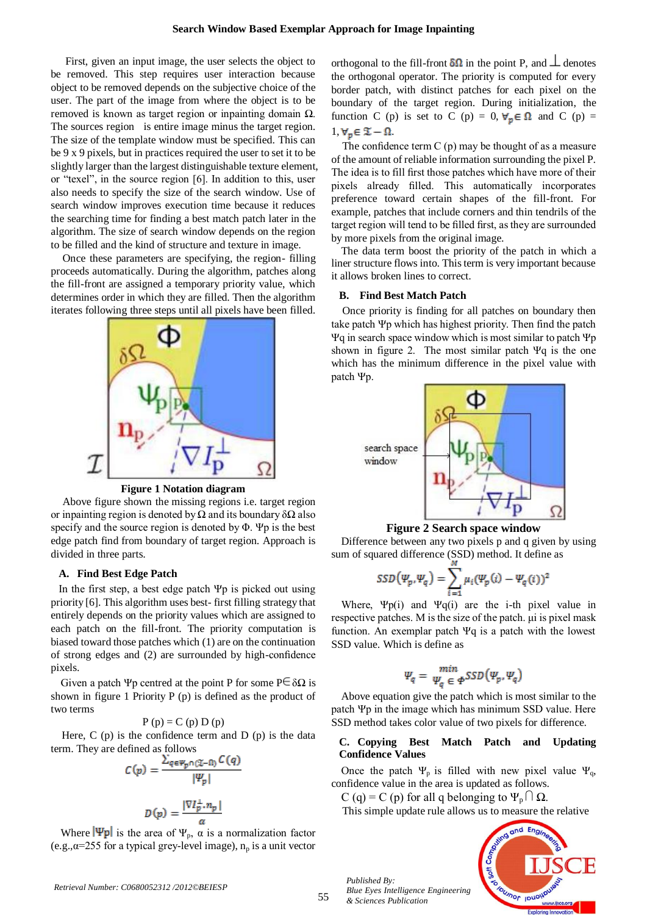First, given an input image, the user selects the object to be removed. This step requires user interaction because object to be removed depends on the subjective choice of the user. The part of the image from where the object is to be removed is known as target region or inpainting domain Ω. The sources region is entire image minus the target region. The size of the template window must be specified. This can be 9 x 9 pixels, but in practices required the user to set it to be slightly larger than the largest distinguishable texture element, or "texel", in the source region [6]. In addition to this, user also needs to specify the size of the search window. Use of search window improves execution time because it reduces the searching time for finding a best match patch later in the algorithm. The size of search window depends on the region to be filled and the kind of structure and texture in image.

Once these parameters are specifying, the region- filling proceeds automatically. During the algorithm, patches along the fill-front are assigned a temporary priority value, which determines order in which they are filled. Then the algorithm iterates following three steps until all pixels have been filled.



**Figure 1 Notation diagram**

Above figure shown the missing regions i.e. target region or inpainting region is denoted by  $\Omega$  and its boundary  $\delta\Omega$  also specify and the source region is denoted by Φ. Ψp is the best edge patch find from boundary of target region. Approach is divided in three parts.

#### **A. Find Best Edge Patch**

In the first step, a best edge patch Ψp is picked out using priority [6]. This algorithm uses best- first filling strategy that entirely depends on the priority values which are assigned to each patch on the fill-front. The priority computation is biased toward those patches which (1) are on the continuation of strong edges and (2) are surrounded by high-confidence pixels.

Given a patch Ψp centred at the point P for some  $P \in \delta \Omega$  is shown in figure 1 Priority P (p) is defined as the product of two terms

$$
P(p) = C(p) D(p)
$$

Here,  $C(p)$  is the confidence term and  $D(p)$  is the data term. They are defined as follows

$$
C(p) = \frac{\sum_{q \in \Psi_p \cap (\mathfrak{X} - \mathfrak{U})} C(q)}{|\Psi_p|}
$$

$$
D(p) = \frac{|\nabla I_p^{\perp}, n_p|}{\alpha}
$$

Where  $|\Psi p|$  is the area of  $\Psi_p$ ,  $\alpha$  is a normalization factor (e.g., $\alpha$ =255 for a typical grey-level image),  $n_p$  is a unit vector

orthogonal to the fill-front  $\delta\Omega$  in the point P, and  $\perp$  denotes the orthogonal operator. The priority is computed for every border patch, with distinct patches for each pixel on the boundary of the target region. During initialization, the function C (p) is set to C (p) = 0,  $\forall_p \in \Omega$  and C (p) =  $1, \forall p \in \mathcal{I} - \Omega.$ 

The confidence term  $C(p)$  may be thought of as a measure of the amount of reliable information surrounding the pixel P. The idea is to fill first those patches which have more of their pixels already filled. This automatically incorporates preference toward certain shapes of the fill-front. For example, patches that include corners and thin tendrils of the target region will tend to be filled first, as they are surrounded by more pixels from the original image.

The data term boost the priority of the patch in which a liner structure flows into. This term is very important because it allows broken lines to correct.

#### **B. Find Best Match Patch**

Once priority is finding for all patches on boundary then take patch Ψp which has highest priority. Then find the patch Ψq in search space window which is most similar to patch Ψp shown in figure 2. The most similar patch Ψq is the one which has the minimum difference in the pixel value with patch Ψp.



## **Figure 2 Search space window**

Difference between any two pixels p and q given by using sum of squared difference (SSD) method. It define as

$$
SSD(\Psi_p, \Psi_q) = \sum_{i=1}^M \mu_i(\Psi_p(i) - \Psi_q(i))^2
$$

Where,  $\Psi p(i)$  and  $\Psi q(i)$  are the i-th pixel value in respective patches. M is the size of the patch. μi is pixel mask function. An exemplar patch Ψq is a patch with the lowest SSD value. Which is define as

$$
\Psi_q = \min_{\Psi_q \in \Phi} SSD(\Psi_p, \Psi_q)
$$

Above equation give the patch which is most similar to the patch Ψp in the image which has minimum SSD value. Here SSD method takes color value of two pixels for difference.

# **C. Copying Best Match Patch and Updating Confidence Values**

Once the patch  $\Psi_p$  is filled with new pixel value  $\Psi_q$ , confidence value in the area is updated as follows.

C (q) = C (p) for all q belonging to  $\Psi_p \cap \Omega$ .

This simple update rule allows us to measure the relative



*Published By:*

*& Sciences Publication* 

*Blue Eyes Intelligence Engineering*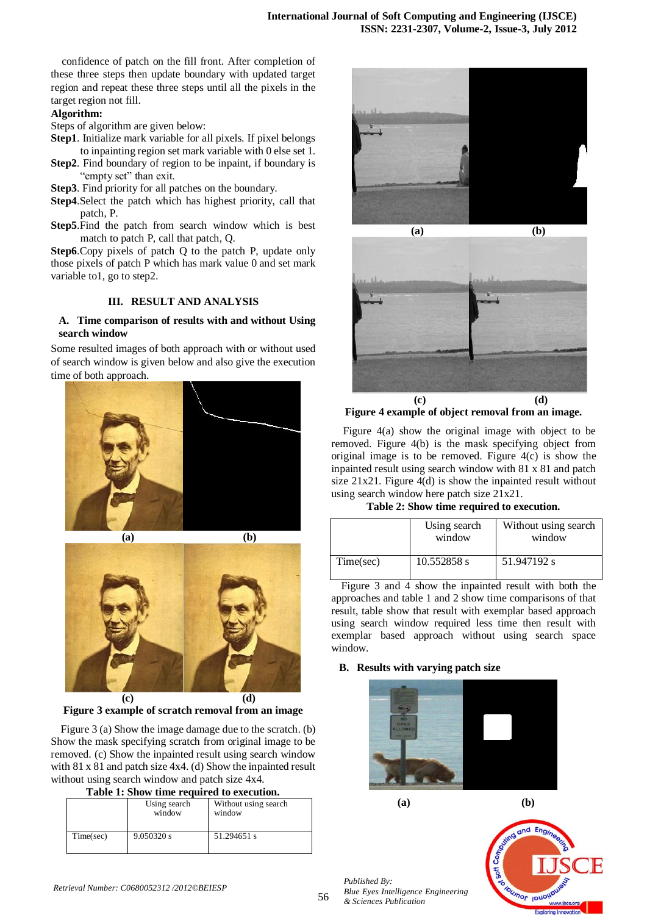confidence of patch on the fill front. After completion of these three steps then update boundary with updated target region and repeat these three steps until all the pixels in the target region not fill.

## **Algorithm:**

Steps of algorithm are given below:

- **Step1**. Initialize mark variable for all pixels. If pixel belongs to inpainting region set mark variable with 0 else set 1.
- **Step2**. Find boundary of region to be inpaint, if boundary is "empty set" than exit.
- **Step3**. Find priority for all patches on the boundary.
- **Step4**.Select the patch which has highest priority, call that patch, P.
- **Step5**.Find the patch from search window which is best match to patch P, call that patch, Q.

**Step6**.Copy pixels of patch Q to the patch P, update only those pixels of patch P which has mark value 0 and set mark variable to1, go to step2.

# **III. RESULT AND ANALYSIS**

# **A. Time comparison of results with and without Using search window**

Some resulted images of both approach with or without used of search window is given below and also give the execution time of both approach.







**Figure 3 example of scratch removal from an image**

Figure 3 (a) Show the image damage due to the scratch. (b) Show the mask specifying scratch from original image to be removed. (c) Show the inpainted result using search window with 81 x 81 and patch size 4x4. (d) Show the inpainted result without using search window and patch size 4x4.

|  |  | Table 1: Show time required to execution. |
|--|--|-------------------------------------------|

|           | Using search<br>window | Without using search<br>window |  |  |  |
|-----------|------------------------|--------------------------------|--|--|--|
| Time(sec) | 9.050320 s             | 51.294651 s                    |  |  |  |





**Figure 4 example of object removal from an image.**

Figure 4(a) show the original image with object to be removed. Figure 4(b) is the mask specifying object from original image is to be removed. Figure 4(c) is show the inpainted result using search window with 81 x 81 and patch size 21x21. Figure 4(d) is show the inpainted result without using search window here patch size 21x21.

**Table 2: Show time required to execution.**

|           | Using search<br>window | Without using search<br>window |
|-----------|------------------------|--------------------------------|
| Time(sec) | 10.552858 s            | 51.947192 s                    |

Figure 3 and 4 show the inpainted result with both the approaches and table 1 and 2 show time comparisons of that result, table show that result with exemplar based approach using search window required less time then result with exemplar based approach without using search space window.

# **B. Results with varying patch size**



*Blue Eyes Intelligence Engineering* 

 **(a) (b)**



*Published By:*

*& Sciences Publication*